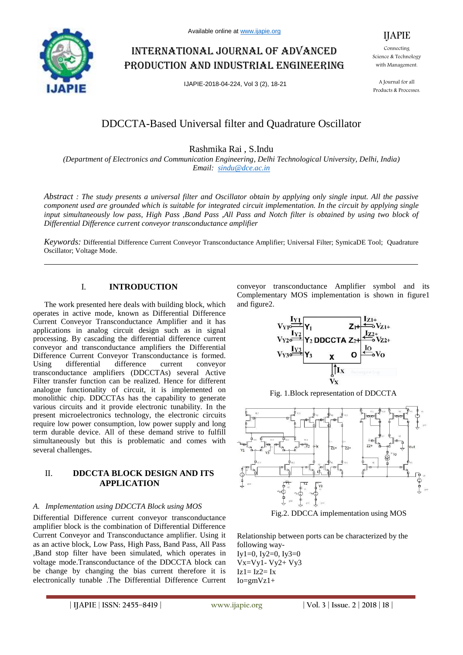

# International journal of advanced production and industrial engineering

IJAPIE-2018-04-224, Vol 3 (2), 18-21

IJAPIE

Connecting Science & Technology with Management.

A Journal for all Products & Processes.

## DDCCTA-Based Universal filter and Quadrature Oscillator

Rashmika Rai , S.Indu

*(Department of Electronics and Communication Engineering, Delhi Technological University, Delhi, India) Email: sindu@dce.ac.in*

*Abstract : The study presents a universal filter and Oscillator obtain by applying only single input. All the passive component used are grounded which is suitable for integrated circuit implementation. In the circuit by applying single input simultaneously low pass, High Pass ,Band Pass ,All Pass and Notch filter is obtained by using two block of Differential Difference current conveyor transconductance amplifier*

*Keywords:* Differential Difference Current Conveyor Transconductance Amplifier; Universal Filter; SymicaDE Tool; Quadrature Oscillator; Voltage Mode.

## I. **INTRODUCTION**

The work presented here deals with building block, which operates in active mode, known as Differential Difference Current Conveyor Transconductance Amplifier and it has applications in analog circuit design such as in signal processing. By cascading the differential difference current conveyor and transconductance amplifiers the Differential Difference Current Conveyor Transconductance is formed. Using differential difference current conveyor transconductance amplifiers (DDCCTAs) several Active Filter transfer function can be realized. Hence for different analogue functionality of circuit, it is implemented on monolithic chip. DDCCTAs has the capability to generate various circuits and it provide electronic tunability. In the present microelectronics technology, the electronic circuits require low power consumption, low power supply and long term durable device. All of these demand strive to fulfill simultaneously but this is problematic and comes with several challenges.

## II. **DDCCTA BLOCK DESIGN AND ITS APPLICATION**

#### *A. Implementation using DDCCTA Block using MOS*

Differential Difference current conveyor transconductance amplifier block is the combination of Differential Difference Current Conveyor and Transconductance amplifier. Using it as an active block, Low Pass, High Pass, Band Pass, All Pass ,Band stop filter have been simulated, which operates in voltage mode.Transconductance of the DDCCTA block can be change by changing the bias current therefore it is electronically tunable .The Differential Difference Current

conveyor transconductance Amplifier symbol and its Complementary MOS implementation is shown in figure1 and figure2.



Fig. 1.Block representation of DDCCTA





Relationship between ports can be characterized by the following way-Iy1=0, Iy2=0, Iy3=0 Vx=Vy1- Vy2+ Vy3  $Iz1 = Iz2 = Ix$  $Io=gmVz1+$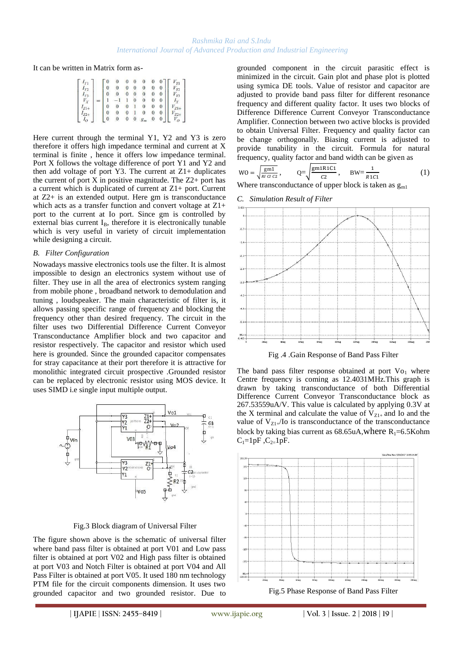It can be written in Matrix form as-

|  |  |  | $\boldsymbol{0}$ | $\theta$         |              |          |          | $V_{Y1}$       |
|--|--|--|------------------|------------------|--------------|----------|----------|----------------|
|  |  |  |                  | 0                | 0            | $\bf{0}$ | $\bf{0}$ | $\mathbf{v}$   |
|  |  |  | $\bf{0}$         | $\bf{0}$         | $\theta$     | $\bf{0}$ | 0        | V <sup>2</sup> |
|  |  |  |                  | 0                | $\mathbf{0}$ | $\theta$ |          |                |
|  |  |  | $\bf{0}$         | п                | $\bf{0}$     | $\bf{0}$ | 0        |                |
|  |  |  |                  |                  |              | $\bf{0}$ | 0        |                |
|  |  |  | $\bf{0}$         | $\boldsymbol{0}$ | $g_m$        | $\bf{0}$ | $\bf{0}$ | $V_{O}$        |

Here current through the terminal Y1, Y2 and Y3 is zero therefore it offers high impedance terminal and current at X terminal is finite , hence it offers low impedance terminal. Port X follows the voltage difference of port Y1 and Y2 and then add voltage of port Y3. The current at  $Z1+$  duplicates the current of port  $X$  in positive magnitude. The  $Z2+$  port has a current which is duplicated of current at Z1+ port. Current at Z2+ is an extended output. Here gm is transconductance which acts as a transfer function and convert voltage at  $Z1+$ port to the current at Io port. Since gm is controlled by external bias current  $I_B$ , therefore it is electronically tunable which is very useful in variety of circuit implementation while designing a circuit.

#### *B. Filter Configuration*

Nowadays massive electronics tools use the filter. It is almost impossible to design an electronics system without use of filter. They use in all the area of electronics system ranging from mobile phone , broadband network to demodulation and tuning , loudspeaker. The main characteristic of filter is, it allows passing specific range of frequency and blocking the frequency other than desired frequency. The circuit in the filter uses two Differential Difference Current Conveyor Transconductance Amplifier block and two capacitor and resistor respectively. The capacitor and resistor which used here is grounded. Since the grounded capacitor compensates for stray capacitance at their port therefore it is attractive for monolithic integrated circuit prospective .Grounded resistor can be replaced by electronic resistor using MOS device. It uses SIMD i.e single input multiple output.



#### Fig.3 Block diagram of Universal Filter

The figure shown above is the schematic of universal filter where band pass filter is obtained at port V01 and Low pass filter is obtained at port V02 and High pass filter is obtained at port V03 and Notch Filter is obtained at port V04 and All Pass Filter is obtained at port V05. It used 180 nm technology PTM file for the circuit components dimension. It uses two grounded capacitor and two grounded resistor. Due to grounded component in the circuit parasitic effect is minimized in the circuit. Gain plot and phase plot is plotted using symica DE tools. Value of resistor and capacitor are adjusted to provide band pass filter for different resonance frequency and different quality factor. It uses two blocks of Difference Difference Current Conveyor Transconductance Amplifier. Connection between two active blocks is provided to obtain Universal Filter. Frequency and quality factor can be change orthogonally. Biasing current is adjusted to provide tunability in the circuit. Formula for natural frequency, quality factor and band width can be given as

$$
WO = \sqrt{\frac{gm1}{Ricic2}}, \qquad Q = \sqrt{\frac{gm1R1C1}{C2}}, \qquad BW = \frac{1}{R1C1}
$$
 (1)

Where transconductance of upper block is taken as  $g<sub>m1</sub>$ 

#### *C. Simulation Result of Filter*



Fig .4 .Gain Response of Band Pass Filter

The band pass filter response obtained at port  $Vo_1$  where Centre frequency is coming as 12.4031MHz.This graph is drawn by taking transconductance of both Differential Difference Current Conveyor Transconductance block as 267.53559uA/V. This value is calculated by applying 0.3V at the X terminal and calculate the value of  $V_{Z1+}$  and Io and the value of  $V_{Z1+}$ /Io is transconductance of the transconductance block by taking bias current as  $68.65$ uA,where R<sub>1</sub>=6.5Kohm  $C_1=1pF$ ,  $C_2=1pF$ .

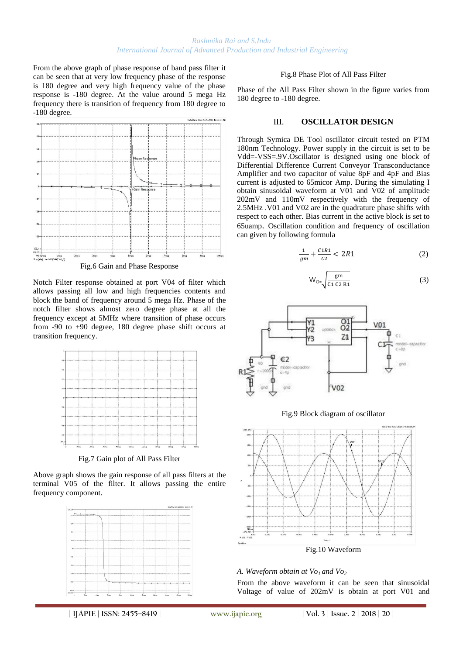From the above graph of phase response of band pass filter it can be seen that at very low frequency phase of the response is 180 degree and very high frequency value of the phase response is -180 degree. At the value around 5 mega Hz frequency there is transition of frequency from 180 degree to -180 degree.



Fig.6 Gain and Phase Response

Notch Filter response obtained at port V04 of filter which allows passing all low and high frequencies contents and block the band of frequency around 5 mega Hz. Phase of the notch filter shows almost zero degree phase at all the frequency except at 5MHz where transition of phase occurs from -90 to +90 degree, 180 degree phase shift occurs at transition frequency.



Fig.7 Gain plot of All Pass Filter

Above graph shows the gain response of all pass filters at the terminal V05 of the filter. It allows passing the entire frequency component.



#### Fig.8 Phase Plot of All Pass Filter

Phase of the All Pass Filter shown in the figure varies from 180 degree to -180 degree.

#### III. **OSCILLATOR DESIGN**

Through Symica DE Tool oscillator circuit tested on PTM 180nm Technology. Power supply in the circuit is set to be Vdd=-VSS=.9V.Oscillator is designed using one block of Differential Difference Current Conveyor Transconductance Amplifier and two capacitor of value 8pF and 4pF and Bias current is adjusted to 65micor Amp. During the simulating I obtain sinusoidal waveform at V01 and V02 of amplitude 202mV and 110mV respectively with the frequency of 2.5MHz .V01 and V02 are in the quadrature phase shifts with respect to each other. Bias current in the active block is set to 65uamp. Oscillation condition and frequency of oscillation can given by following formula

$$
\frac{1}{gm} + \frac{C1R1}{C2} < 2R1 \tag{2}
$$

$$
W_{O} = \sqrt{\frac{gm}{C1 C2 R1}}
$$
 (3)







## *A. Waveform obtain at Vo1 and Vo<sup>2</sup>*

From the above waveform it can be seen that sinusoidal Voltage of value of 202mV is obtain at port V01 and